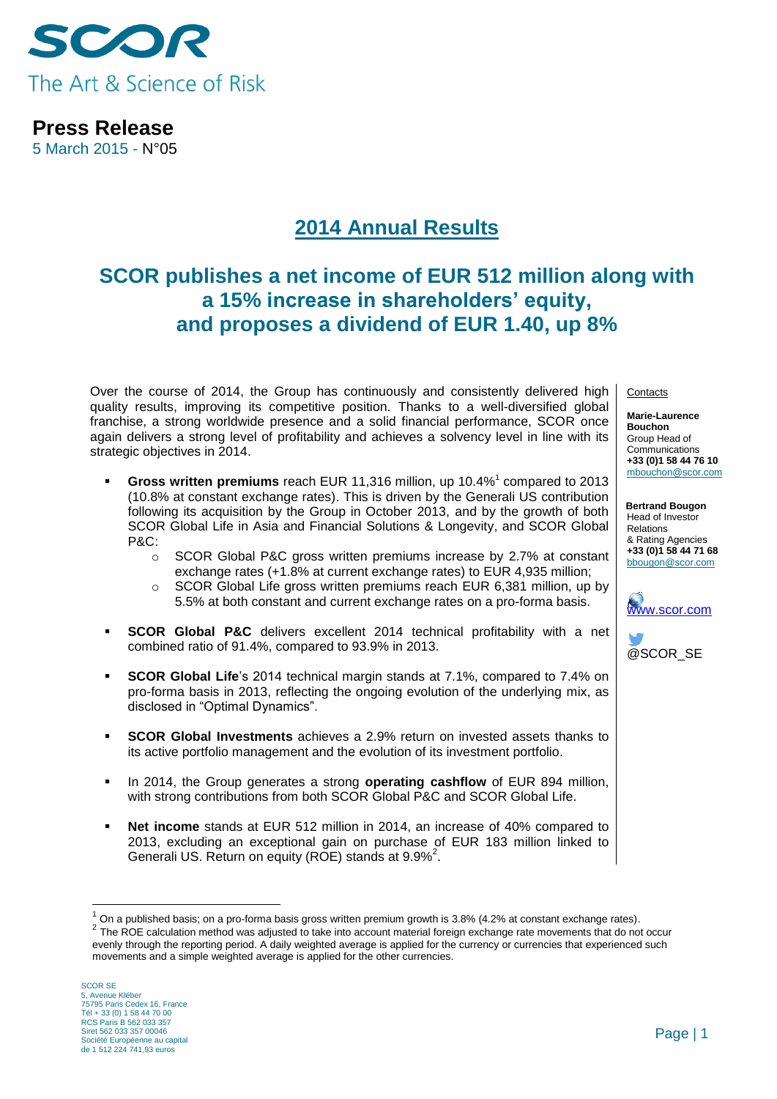

**Press Release** 5 March 2015 - N°05

# **2014 Annual Results**

# **SCOR publishes a net income of EUR 512 million along with a 15% increase in shareholders' equity, and proposes a dividend of EUR 1.40, up 8%**

Over the course of 2014, the Group has continuously and consistently delivered high quality results, improving its competitive position. Thanks to a well-diversified global franchise, a strong worldwide presence and a solid financial performance, SCOR once again delivers a strong level of profitability and achieves a solvency level in line with its strategic objectives in 2014.

- **Gross written premiums** reach EUR 11,316 million, up 10.4%<sup>1</sup> compared to 2013 (10.8% at constant exchange rates). This is driven by the Generali US contribution following its acquisition by the Group in October 2013, and by the growth of both SCOR Global Life in Asia and Financial Solutions & Longevity, and SCOR Global P&C:
	- $\circ$  SCOR Global P&C gross written premiums increase by 2.7% at constant exchange rates (+1.8% at current exchange rates) to EUR 4,935 million;
	- o SCOR Global Life gross written premiums reach EUR 6,381 million, up by 5.5% at both constant and current exchange rates on a pro-forma basis.
- **SCOR Global P&C** delivers excellent 2014 technical profitability with a net combined ratio of 91.4%, compared to 93.9% in 2013.
- **SCOR Global Life**'s 2014 technical margin stands at 7.1%, compared to 7.4% on pro-forma basis in 2013, reflecting the ongoing evolution of the underlying mix, as disclosed in "Optimal Dynamics".
- **SCOR Global Investments** achieves a 2.9% return on invested assets thanks to its active portfolio management and the evolution of its investment portfolio.
- In 2014, the Group generates a strong **operating cashflow** of EUR 894 million, with strong contributions from both SCOR Global P&C and SCOR Global Life.
- **Net income** stands at EUR 512 million in 2014, an increase of 40% compared to 2013, excluding an exceptional gain on purchase of EUR 183 million linked to Generali US. Return on equity (ROE) stands at  $9.9\%^2$ .

SCOR SE 5, Avenue Kléber 75795 Paris Cedex 16, France Tél + 33 (0) 1 58 44 70 00 RCS Paris B 562 033 357 Siret 562 033 357 00046 Société Européenne au capital de 1 512 224 741,93 euros

1

**Contacts** 

**Marie-Laurence Bouchon** Group Head of Communications **+33 (0)1 58 44 76 10** [mbouchon@scor.com](mailto:mbouchon@scor.com)

**Bertrand Bougon** Head of Investor Relations & Rating Agencies **+33 (0)1 58 44 71 68** bbougon@scor.com





<sup>1</sup> On a published basis; on a pro-forma basis gross written premium growth is 3.8% (4.2% at constant exchange rates). <sup>2</sup> The ROE calculation method was adjusted to take into account material foreign exchange rate movements that do not occur evenly through the reporting period. A daily weighted average is applied for the currency or currencies that experienced such movements and a simple weighted average is applied for the other currencies.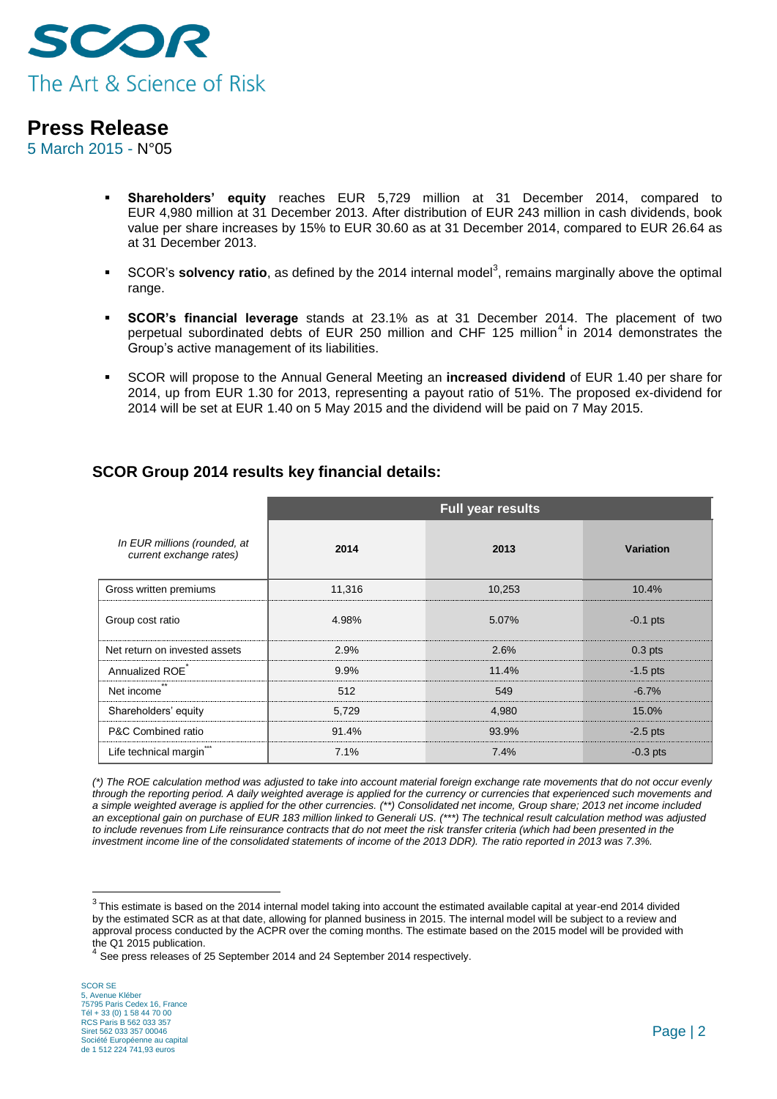

5 March 2015 - N°05

- **Shareholders' equity** reaches EUR 5,729 million at 31 December 2014, compared to EUR 4,980 million at 31 December 2013. After distribution of EUR 243 million in cash dividends, book value per share increases by 15% to EUR 30.60 as at 31 December 2014, compared to EUR 26.64 as at 31 December 2013.
- **SCOR's solvency ratio**, as defined by the 2014 internal model<sup>3</sup>, remains marginally above the optimal range.
- **SCOR's financial leverage** stands at 23.1% as at 31 December 2014. The placement of two perpetual subordinated debts of EUR 250 million and CHF 125 million<sup>4</sup> in 2014 demonstrates the Group's active management of its liabilities.
- SCOR will propose to the Annual General Meeting an **increased dividend** of EUR 1.40 per share for 2014, up from EUR 1.30 for 2013, representing a payout ratio of 51%. The proposed ex-dividend for 2014 will be set at EUR 1.40 on 5 May 2015 and the dividend will be paid on 7 May 2015.

|                                                         | <b>Full year results</b> |        |            |  |
|---------------------------------------------------------|--------------------------|--------|------------|--|
| In EUR millions (rounded, at<br>current exchange rates) | 2014                     | 2013   | Variation  |  |
| Gross written premiums                                  | 11,316                   | 10,253 | 10.4%      |  |
| Group cost ratio                                        | 4.98%                    | 5.07%  | $-0.1$ pts |  |
| Net return on invested assets                           | 2.9%                     | 2.6%   | $0.3$ pts  |  |
| Annualized ROE                                          | 9.9%                     | 11.4%  | $-1.5$ pts |  |
| Net income                                              | 512                      | 549    | $-6.7%$    |  |
| Shareholders' equity                                    | 5,729                    | 4,980  | 15.0%      |  |
| P&C Combined ratio                                      | 91.4%                    | 93.9%  | $-2.5$ pts |  |
| Life technical margin"**                                | 7.1%                     | 7.4%   | $-0.3$ pts |  |

### **SCOR Group 2014 results key financial details:**

*(\*) The ROE calculation method was adjusted to take into account material foreign exchange rate movements that do not occur evenly through the reporting period. A daily weighted average is applied for the currency or currencies that experienced such movements and a simple weighted average is applied for the other currencies. (\*\*) Consolidated net income, Group share; 2013 net income included an exceptional gain on purchase of EUR 183 million linked to Generali US. (\*\*\*) The technical result calculation method was adjusted*  to include revenues from Life reinsurance contracts that do not meet the risk transfer criteria (which had been presented in the *investment income line of the consolidated statements of income of the 2013 DDR). The ratio reported in 2013 was 7.3%.*

<u>.</u>

 $^3$  This estimate is based on the 2014 internal model taking into account the estimated available capital at year-end 2014 divided by the estimated SCR as at that date, allowing for planned business in 2015. The internal model will be subject to a review and approval process conducted by the ACPR over the coming months. The estimate based on the 2015 model will be provided with the Q1 2015 publication.

See press releases of 25 September 2014 and 24 September 2014 respectively.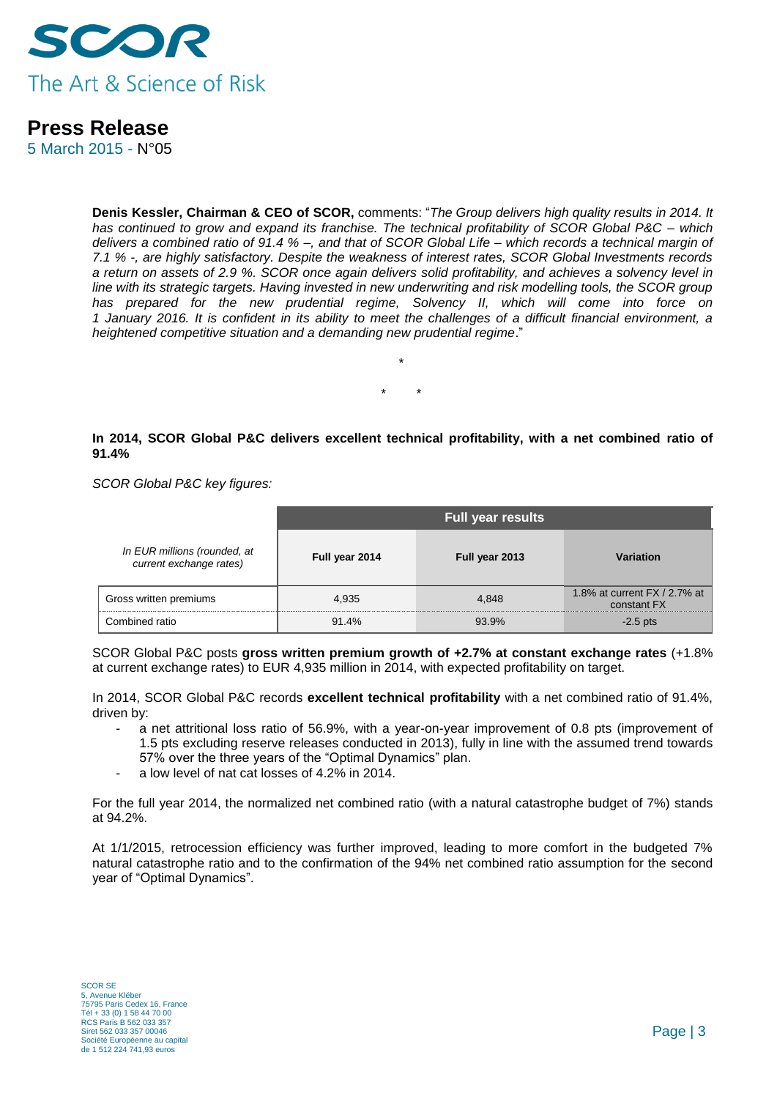

5 March 2015 - N°05

**Denis Kessler, Chairman & CEO of SCOR,** comments: "*The Group delivers high quality results in 2014. It has continued to grow and expand its franchise. The technical profitability of SCOR Global P&C – which delivers a combined ratio of 91.4 % –, and that of SCOR Global Life – which records a technical margin of 7.1 % -, are highly satisfactory. Despite the weakness of interest rates, SCOR Global Investments records a return on assets of 2.9 %. SCOR once again delivers solid profitability, and achieves a solvency level in*  line with its strategic targets. Having invested in new underwriting and risk modelling tools, the SCOR group *has prepared for the new prudential regime, Solvency II, which will come into force on 1 January 2016. It is confident in its ability to meet the challenges of a difficult financial environment, a heightened competitive situation and a demanding new prudential regime*."

> *\* \*\*\*\*\*\*\*\**

### **In 2014, SCOR Global P&C delivers excellent technical profitability, with a net combined ratio of 91.4%**

*SCOR Global P&C key figures:*

|                                                         | <b>Full year results</b> |                |                                             |  |
|---------------------------------------------------------|--------------------------|----------------|---------------------------------------------|--|
| In EUR millions (rounded, at<br>current exchange rates) | Full year 2014           | Full year 2013 | Variation                                   |  |
| Gross written premiums                                  | 4.935                    | 4.848          | 1.8% at current $FX/2.7%$ at<br>constant FX |  |
| Combined ratio                                          | 91.4%                    | 93.9%          | $-2.5$ pts                                  |  |

SCOR Global P&C posts **gross written premium growth of +2.7% at constant exchange rates** (+1.8% at current exchange rates) to EUR 4,935 million in 2014, with expected profitability on target.

In 2014, SCOR Global P&C records **excellent technical profitability** with a net combined ratio of 91.4%, driven by:

- a net attritional loss ratio of 56.9%, with a year-on-year improvement of 0.8 pts (improvement of 1.5 pts excluding reserve releases conducted in 2013), fully in line with the assumed trend towards 57% over the three years of the "Optimal Dynamics" plan.
- a low level of nat cat losses of 4.2% in 2014.

For the full year 2014, the normalized net combined ratio (with a natural catastrophe budget of 7%) stands at 94.2%.

At 1/1/2015, retrocession efficiency was further improved, leading to more comfort in the budgeted 7% natural catastrophe ratio and to the confirmation of the 94% net combined ratio assumption for the second year of "Optimal Dynamics".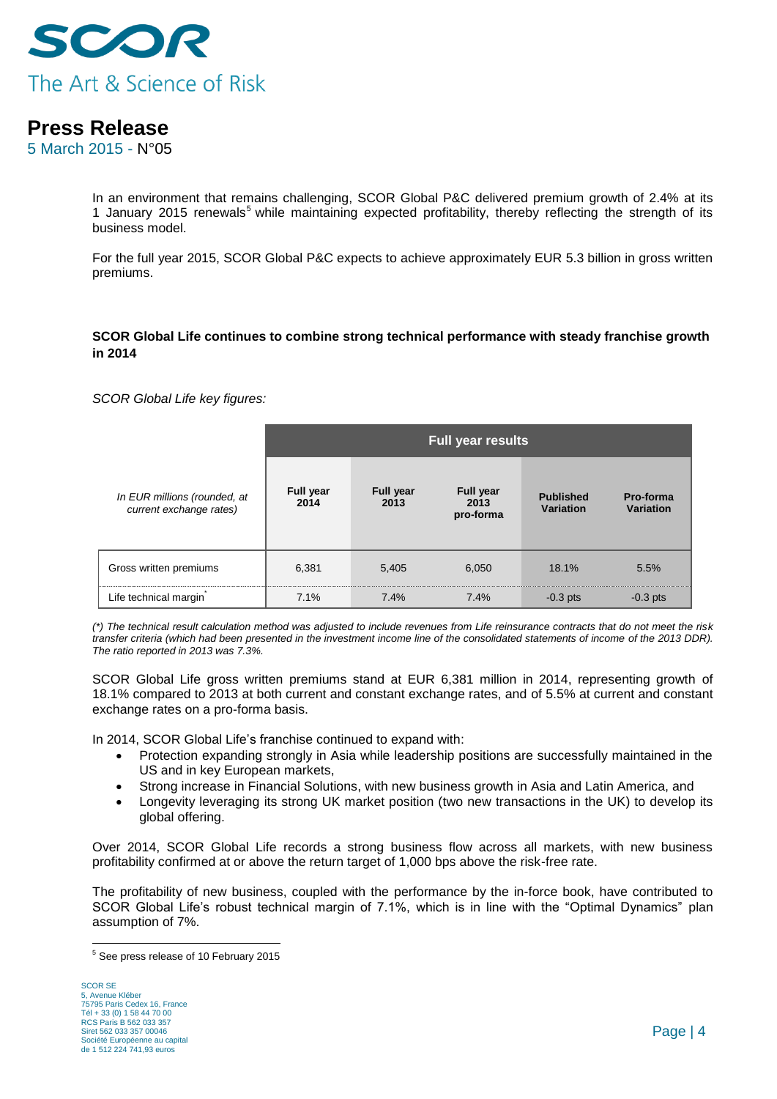

5 March 2015 - N°05

In an environment that remains challenging, SCOR Global P&C delivered premium growth of 2.4% at its 1 January 2015 renewals<sup>5</sup> while maintaining expected profitability, thereby reflecting the strength of its business model.

For the full year 2015, SCOR Global P&C expects to achieve approximately EUR 5.3 billion in gross written premiums.

#### **SCOR Global Life continues to combine strong technical performance with steady franchise growth in 2014**

*SCOR Global Life key figures:* 

|                                                         | <b>Full year results</b> |                          |                                       |                               |                        |  |
|---------------------------------------------------------|--------------------------|--------------------------|---------------------------------------|-------------------------------|------------------------|--|
| In EUR millions (rounded, at<br>current exchange rates) | <b>Full year</b><br>2014 | <b>Full year</b><br>2013 | <b>Full year</b><br>2013<br>pro-forma | <b>Published</b><br>Variation | Pro-forma<br>Variation |  |
| Gross written premiums                                  | 6,381                    | 5,405                    | 6.050                                 | 18.1%                         | 5.5%                   |  |
| Life technical margin                                   | 7.1%                     | 7.4%                     | 7.4%                                  | $-0.3$ pts                    | $-0.3$ pts             |  |

*(\*) The technical result calculation method was adjusted to include revenues from Life reinsurance contracts that do not meet the risk transfer criteria (which had been presented in the investment income line of the consolidated statements of income of the 2013 DDR). The ratio reported in 2013 was 7.3%.*

SCOR Global Life gross written premiums stand at EUR 6,381 million in 2014, representing growth of 18.1% compared to 2013 at both current and constant exchange rates, and of 5.5% at current and constant exchange rates on a pro-forma basis.

In 2014, SCOR Global Life's franchise continued to expand with:

- Protection expanding strongly in Asia while leadership positions are successfully maintained in the US and in key European markets,
- Strong increase in Financial Solutions, with new business growth in Asia and Latin America, and
- Longevity leveraging its strong UK market position (two new transactions in the UK) to develop its global offering.

Over 2014, SCOR Global Life records a strong business flow across all markets, with new business profitability confirmed at or above the return target of 1,000 bps above the risk-free rate.

The profitability of new business, coupled with the performance by the in-force book, have contributed to SCOR Global Life's robust technical margin of 7.1%, which is in line with the "Optimal Dynamics" plan assumption of 7%.

<sup>1</sup> <sup>5</sup> See press release of 10 February 2015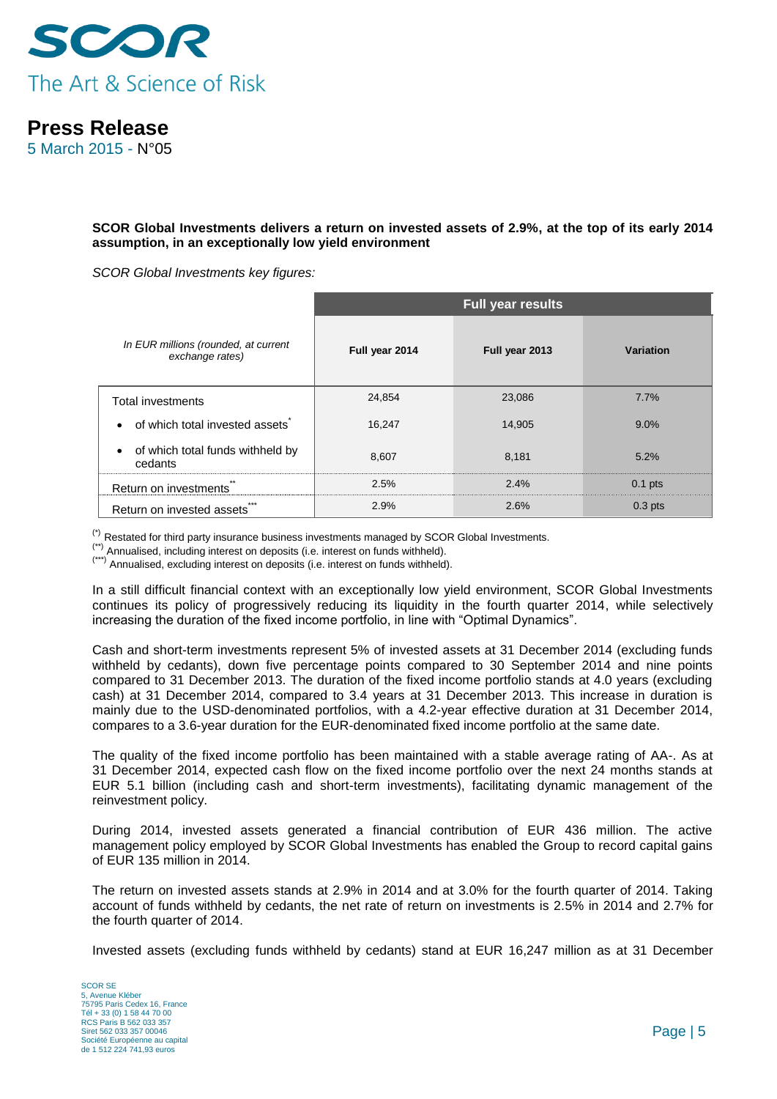

5 March 2015 - N°05

**SCOR Global Investments delivers a return on invested assets of 2.9%, at the top of its early 2014 assumption, in an exceptionally low yield environment**

*SCOR Global Investments key figures:*

|                                                         | <b>Full year results</b> |                |           |  |  |
|---------------------------------------------------------|--------------------------|----------------|-----------|--|--|
| In EUR millions (rounded, at current<br>exchange rates) | Full year 2014           | Full year 2013 | Variation |  |  |
| <b>Total investments</b>                                | 24,854                   | 23,086         | 7.7%      |  |  |
| of which total invested assets                          | 16.247                   | 14.905         | 9.0%      |  |  |
| of which total funds withheld by<br>cedants             | 8,607                    | 8,181          | 5.2%      |  |  |
| Return on investments                                   | 2.5%                     | 2.4%           | $0.1$ pts |  |  |
| Return on invested assets                               | 2.9%                     | 2.6%           | $0.3$ pts |  |  |

(\*) Restated for third party insurance business investments managed by SCOR Global Investments.

(\*\*) Annualised, including interest on deposits (i.e. interest on funds withheld).

(\*\*\*) Annualised, excluding interest on deposits (i.e. interest on funds withheld).

In a still difficult financial context with an exceptionally low yield environment, SCOR Global Investments continues its policy of progressively reducing its liquidity in the fourth quarter 2014, while selectively increasing the duration of the fixed income portfolio, in line with "Optimal Dynamics".

Cash and short-term investments represent 5% of invested assets at 31 December 2014 (excluding funds withheld by cedants), down five percentage points compared to 30 September 2014 and nine points compared to 31 December 2013. The duration of the fixed income portfolio stands at 4.0 years (excluding cash) at 31 December 2014, compared to 3.4 years at 31 December 2013. This increase in duration is mainly due to the USD-denominated portfolios, with a 4.2-year effective duration at 31 December 2014, compares to a 3.6-year duration for the EUR-denominated fixed income portfolio at the same date.

The quality of the fixed income portfolio has been maintained with a stable average rating of AA-. As at 31 December 2014, expected cash flow on the fixed income portfolio over the next 24 months stands at EUR 5.1 billion (including cash and short-term investments), facilitating dynamic management of the reinvestment policy.

During 2014, invested assets generated a financial contribution of EUR 436 million. The active management policy employed by SCOR Global Investments has enabled the Group to record capital gains of EUR 135 million in 2014.

The return on invested assets stands at 2.9% in 2014 and at 3.0% for the fourth quarter of 2014. Taking account of funds withheld by cedants, the net rate of return on investments is 2.5% in 2014 and 2.7% for the fourth quarter of 2014.

Invested assets (excluding funds withheld by cedants) stand at EUR 16,247 million as at 31 December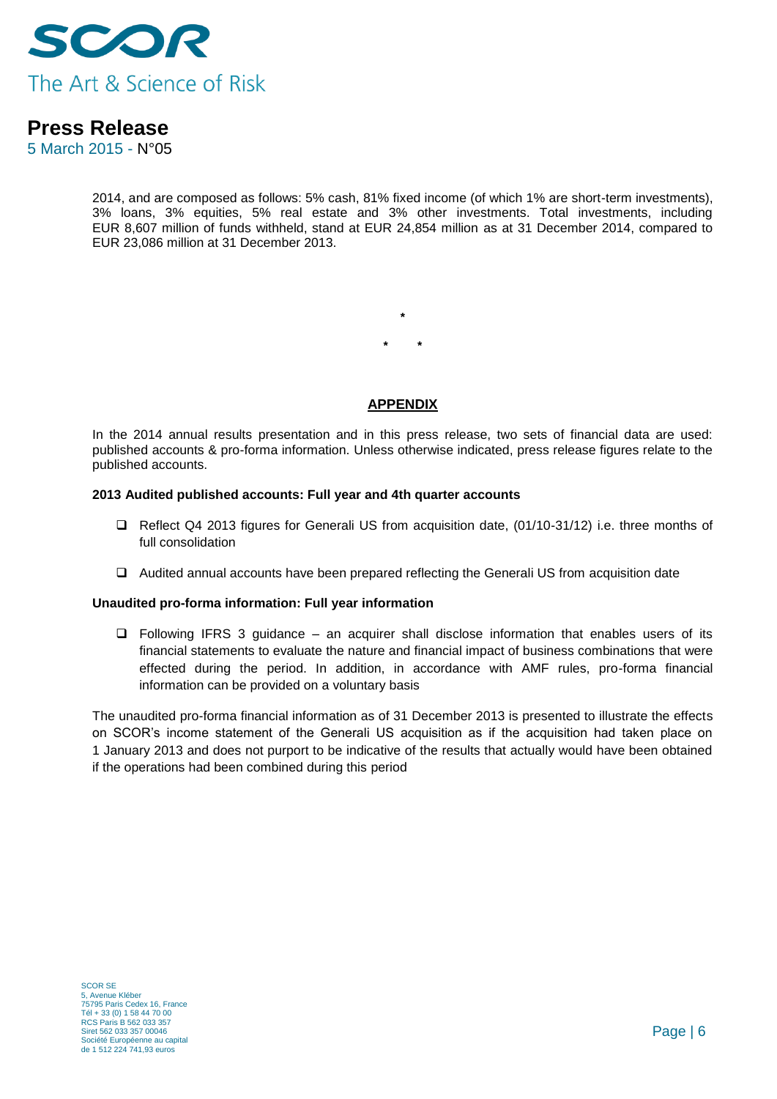

5 March 2015 - N°05

2014, and are composed as follows: 5% cash, 81% fixed income (of which 1% are short-term investments), 3% loans, 3% equities, 5% real estate and 3% other investments. Total investments, including EUR 8,607 million of funds withheld, stand at EUR 24,854 million as at 31 December 2014, compared to EUR 23,086 million at 31 December 2013.

> **\* \* \***

### **APPENDIX**

In the 2014 annual results presentation and in this press release, two sets of financial data are used: published accounts & pro-forma information. Unless otherwise indicated, press release figures relate to the published accounts.

#### **2013 Audited published accounts: Full year and 4th quarter accounts**

- □ Reflect Q4 2013 figures for Generali US from acquisition date, (01/10-31/12) i.e. three months of full consolidation
- Audited annual accounts have been prepared reflecting the Generali US from acquisition date

#### **Unaudited pro-forma information: Full year information**

 $\Box$  Following IFRS 3 guidance – an acquirer shall disclose information that enables users of its financial statements to evaluate the nature and financial impact of business combinations that were effected during the period. In addition, in accordance with AMF rules, pro-forma financial information can be provided on a voluntary basis

The unaudited pro-forma financial information as of 31 December 2013 is presented to illustrate the effects on SCOR's income statement of the Generali US acquisition as if the acquisition had taken place on 1 January 2013 and does not purport to be indicative of the results that actually would have been obtained if the operations had been combined during this period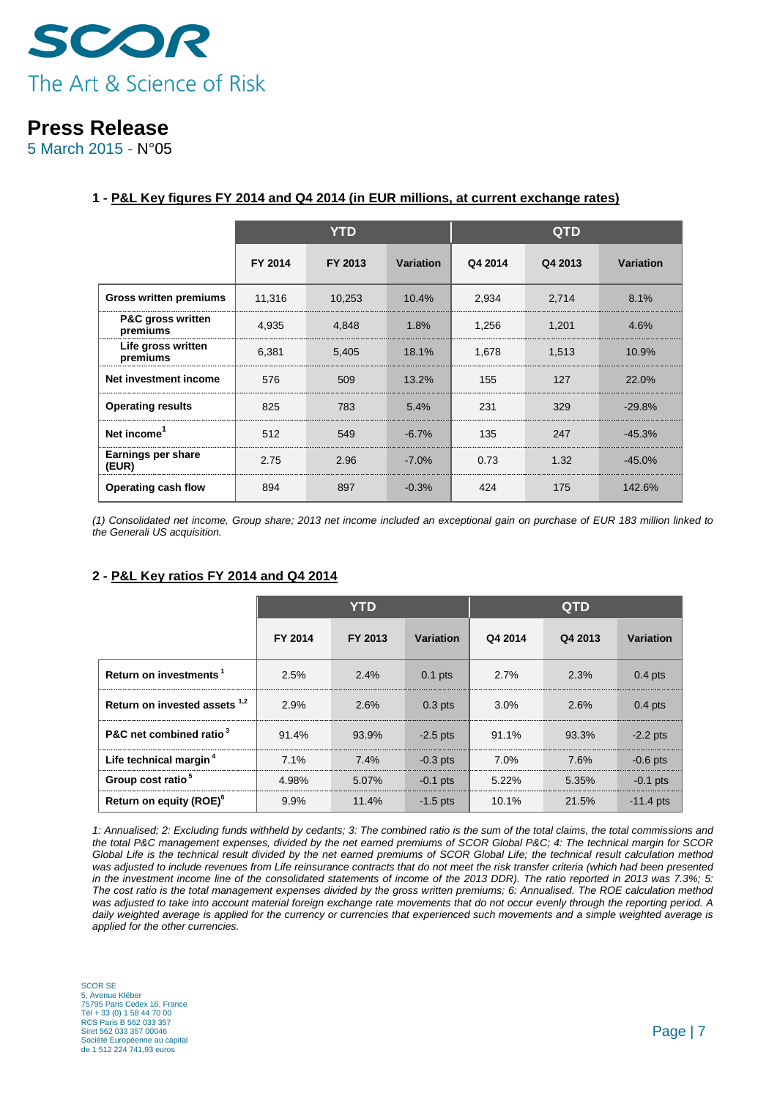

5 March 2015 - N°05

|                                          |         | <b>YTD</b> |                  |         | <b>QTD</b> |           |
|------------------------------------------|---------|------------|------------------|---------|------------|-----------|
|                                          | FY 2014 | FY 2013    | <b>Variation</b> | Q4 2014 | Q4 2013    | Variation |
| <b>Gross written premiums</b>            | 11,316  | 10,253     | 10.4%            | 2,934   | 2,714      | 8.1%      |
| <b>P&amp;C gross written</b><br>premiums | 4,935   | 4,848      | 1.8%             | 1,256   | 1,201      | 4.6%      |
| Life gross written<br>premiums           | 6,381   | 5,405      | 18.1%            | 1,678   | 1,513      | 10.9%     |
| Net investment income                    | 576     | 509        | 13.2%            | 155     | 127        | 22.0%     |
| <b>Operating results</b>                 | 825     | 783        | 5.4%             | 231     | 329        | $-29.8%$  |
| Net income <sup>1</sup>                  | 512     | 549        | $-6.7%$          | 135     | 247        | $-45.3%$  |
| Earnings per share<br>(EUR)              | 2.75    | 2.96       | $-7.0%$          | 0.73    | 1.32       | $-45.0%$  |
| Operating cash flow                      | 894     | 897        | $-0.3%$          | 424     | 175        | 142.6%    |

#### **1 - P&L Key figures FY 2014 and Q4 2014 (in EUR millions, at current exchange rates)**

*(1) Consolidated net income, Group share; 2013 net income included an exceptional gain on purchase of EUR 183 million linked to the Generali US acquisition.*

#### **2 - P&L Key ratios FY 2014 and Q4 2014**

|                                          | <b>YTD</b> |         |            | <b>QTD</b> |         |             |
|------------------------------------------|------------|---------|------------|------------|---------|-------------|
|                                          | FY 2014    | FY 2013 | Variation  | Q4 2014    | Q4 2013 | Variation   |
| Return on investments <sup>1</sup>       | 2.5%       | 2.4%    | $0.1$ pts  | 2.7%       | 2.3%    | $0.4$ pts   |
| Return on invested assets <sup>1,2</sup> | 2.9%       | 2.6%    | $0.3$ pts  | 3.0%       | 2.6%    | $0.4$ pts   |
| P&C net combined ratio <sup>3</sup>      | 91.4%      | 93.9%   | $-2.5$ pts | 91.1%      | 93.3%   | $-2.2$ pts  |
| Life technical margin <sup>4</sup>       | 7.1%       | $7.4\%$ | $-0.3$ pts | 7.0%       | 7.6%    | $-0.6$ pts  |
| Group cost ratio <sup>5</sup>            | 4.98%      | 5.07%   | $-0.1$ pts | 5.22%      | 5.35%   | $-0.1$ pts  |
| Return on equity (ROE) <sup>6</sup>      | 9.9%       | 11.4%   | $-1.5$ pts | 10.1%      | 21.5%   | $-11.4$ pts |

*1: Annualised; 2: Excluding funds withheld by cedants; 3: The combined ratio is the sum of the total claims, the total commissions and the total P&C management expenses, divided by the net earned premiums of SCOR Global P&C; 4: The technical margin for SCOR Global Life is the technical result divided by the net earned premiums of SCOR Global Life; the technical result calculation method*  was adjusted to include revenues from Life reinsurance contracts that do not meet the risk transfer criteria (which had been presented *in the investment income line of the consolidated statements of income of the 2013 DDR). The ratio reported in 2013 was 7.3%; 5: The cost ratio is the total management expenses divided by the gross written premiums; 6: Annualised. The ROE calculation method was adjusted to take into account material foreign exchange rate movements that do not occur evenly through the reporting period. A*  daily weighted average is applied for the currency or currencies that experienced such movements and a simple weighted average is *applied for the other currencies.*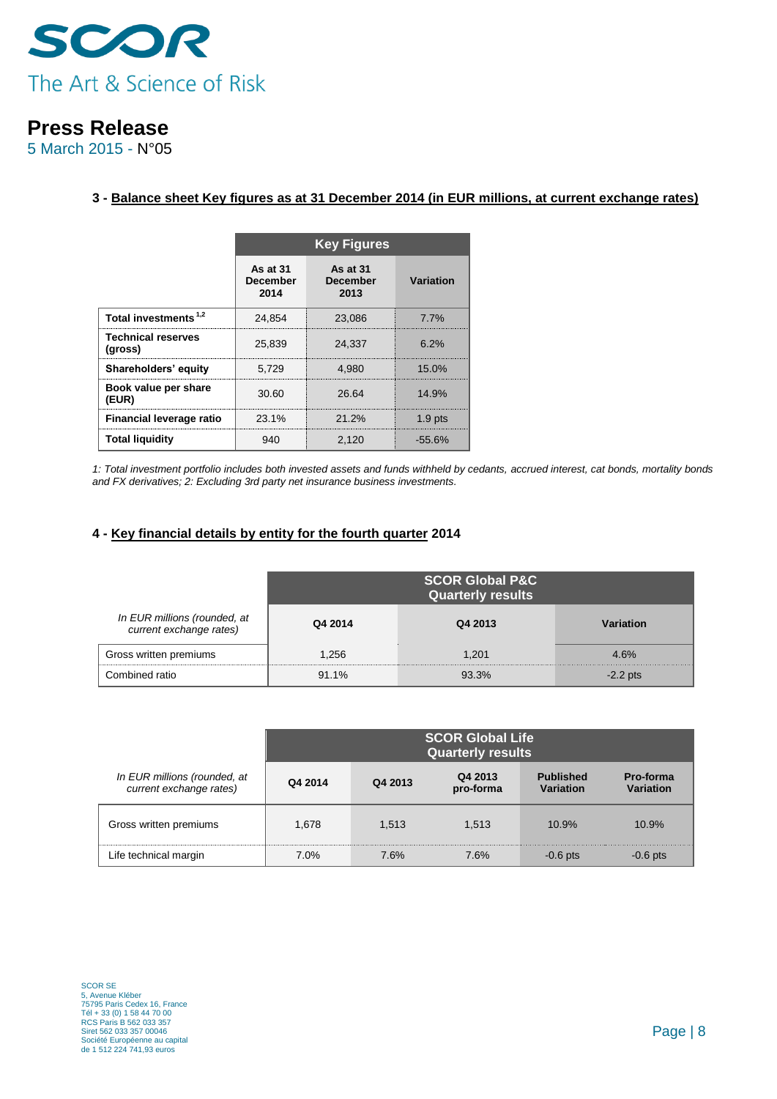

5 March 2015 - N°05

#### **3 - Balance sheet Key figures as at 31 December 2014 (in EUR millions, at current exchange rates)**

|                                      | <b>Key Figures</b>                  |                                     |           |  |  |
|--------------------------------------|-------------------------------------|-------------------------------------|-----------|--|--|
|                                      | As at 31<br><b>December</b><br>2014 | As at 31<br><b>December</b><br>2013 | Variation |  |  |
| Total investments <sup>1,2</sup>     | 24.854                              | 23.086                              | 7.7%      |  |  |
| <b>Technical reserves</b><br>(gross) | 25,839                              | 24.337                              | 6.2%      |  |  |
| Shareholders' equity                 | 5.729                               | 4.980                               | 15.0%     |  |  |
| Book value per share<br>(EUR)        | 30.60                               | 26.64                               | 14.9%     |  |  |
| Financial leverage ratio             | 23.1%                               | 21.2%                               | $1.9$ pts |  |  |
| <b>Total liquidity</b>               | 940                                 | 2.120                               | $-55.6\%$ |  |  |

*1: Total investment portfolio includes both invested assets and funds withheld by cedants, accrued interest, cat bonds, mortality bonds and FX derivatives; 2: Excluding 3rd party net insurance business investments.*

### **4 - Key financial details by entity for the fourth quarter 2014**

|                                                         | <b>SCOR Global P&amp;C</b><br><b>Quarterly results</b> |         |            |  |
|---------------------------------------------------------|--------------------------------------------------------|---------|------------|--|
| In EUR millions (rounded, at<br>current exchange rates) | Q4 2014                                                | Q4 2013 | Variation  |  |
| Gross written premiums                                  | 1.256                                                  | 1.201   | 4.6%       |  |
| Combined ratio                                          | $91.1\%$                                               | 93.3%   | $-2.2$ pts |  |

|                                                         | <b>SCOR Global Life</b><br><b>Quarterly results</b> |         |                      |                        |                               |
|---------------------------------------------------------|-----------------------------------------------------|---------|----------------------|------------------------|-------------------------------|
| In EUR millions (rounded, at<br>current exchange rates) | Q4 2014                                             | Q4 2013 | Q4 2013<br>pro-forma | Published<br>Variation | Pro-forma<br><b>Variation</b> |
| Gross written premiums                                  | 1.678                                               | 1.513   | 1.513                | 10.9%                  | 10.9%                         |
| Life technical margin                                   | $7.0\%$                                             | 7.6%    | 7.6%                 | $-0.6$ pts             | $-0.6$ pts                    |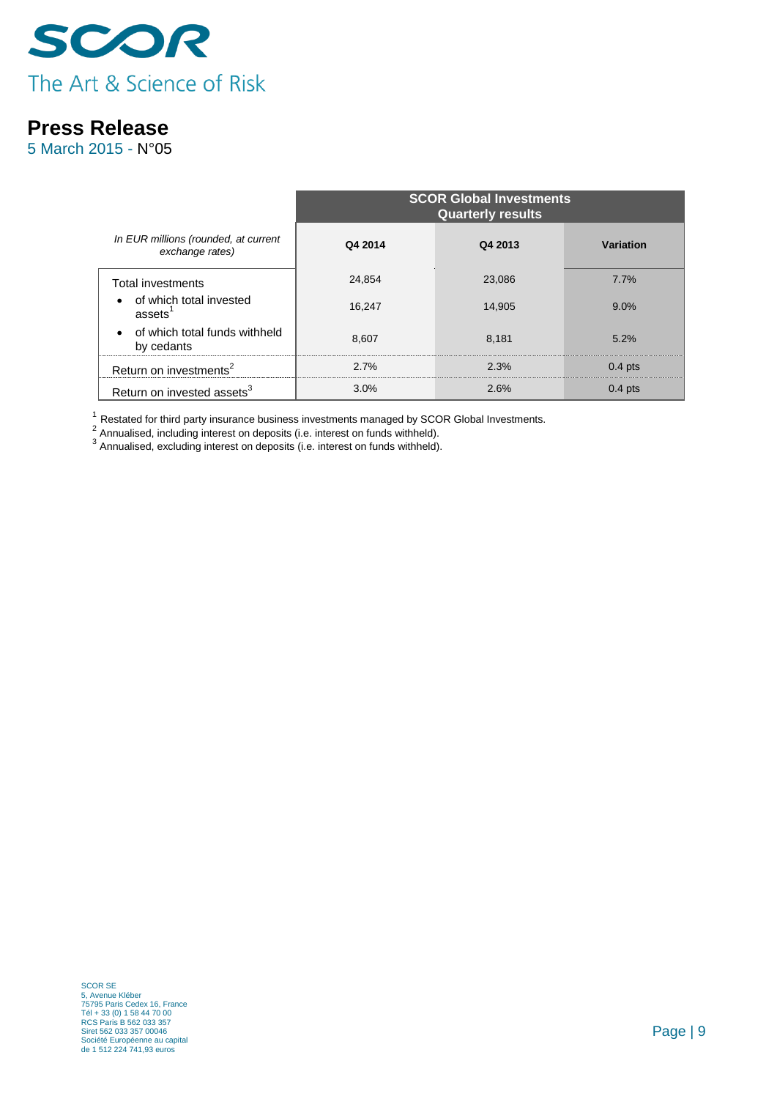

5 March 2015 - N°05

|                                                         | <b>SCOR Global Investments</b><br><b>Quarterly results</b> |         |           |  |  |
|---------------------------------------------------------|------------------------------------------------------------|---------|-----------|--|--|
| In EUR millions (rounded, at current<br>exchange rates) | Q4 2014                                                    | Q4 2013 | Variation |  |  |
| <b>Total investments</b>                                | 24,854                                                     | 23,086  | 7.7%      |  |  |
| of which total invested<br>assets <sup>1</sup>          | 16.247                                                     | 14.905  | 9.0%      |  |  |
| of which total funds withheld<br>by cedants             | 8,607                                                      | 8.181   | 5.2%      |  |  |
| Return on investments <sup>2</sup>                      | 2.7%                                                       | 2.3%    | $0.4$ pts |  |  |
| Return on invested assets <sup>3</sup>                  | 3.0%                                                       | 2.6%    | $0.4$ pts |  |  |

 $^1$  Restated for third party insurance business investments managed by SCOR Global Investments.<br><sup>2</sup> Annualised, including interest on deposits (i.e. interest on funds withheld).<br><sup>3</sup> Annualised, excluding interest on depo